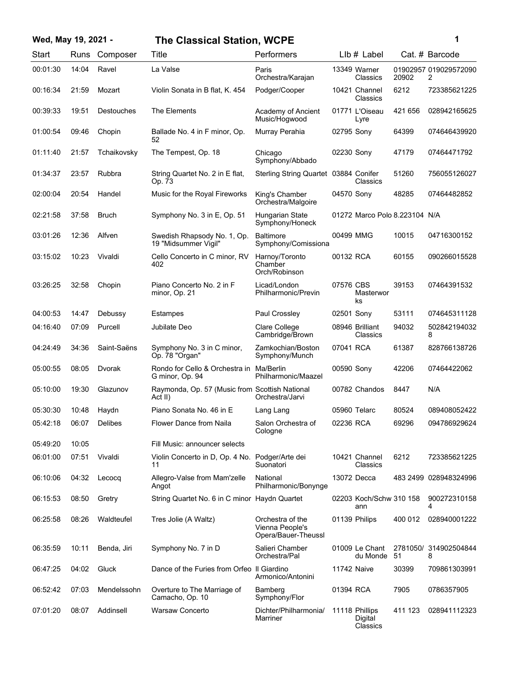# **Wed, May 19, 2021 - 1 The Classical Station, WCPE**

| ï<br>۰. |  |
|---------|--|
|         |  |
|         |  |

| Start    | Runs  | Composer          | Title                                                     | Performers                                                 |            | $L$ lb $#$ Label                      |         | Cat. # Barcode             |
|----------|-------|-------------------|-----------------------------------------------------------|------------------------------------------------------------|------------|---------------------------------------|---------|----------------------------|
| 00:01:30 | 14:04 | Ravel             | La Valse                                                  | Paris<br>Orchestra/Karajan                                 |            | 13349 Warner<br>Classics              | 20902   | 01902957 019029572090<br>2 |
| 00:16:34 | 21:59 | Mozart            | Violin Sonata in B flat, K. 454                           | Podger/Cooper                                              |            | 10421 Channel<br>Classics             | 6212    | 723385621225               |
| 00:39:33 | 19:51 | <b>Destouches</b> | The Elements                                              | Academy of Ancient<br>Music/Hogwood                        |            | 01771 L'Oiseau<br>Lyre                | 421 656 | 028942165625               |
| 01:00:54 | 09:46 | Chopin            | Ballade No. 4 in F minor, Op.<br>52                       | Murray Perahia                                             | 02795 Sony |                                       | 64399   | 074646439920               |
| 01:11:40 | 21:57 | Tchaikovsky       | The Tempest, Op. 18                                       | Chicago<br>Symphony/Abbado                                 | 02230 Sony |                                       | 47179   | 07464471792                |
| 01:34:37 | 23:57 | Rubbra            | String Quartet No. 2 in E flat,<br>Op. 73                 | Sterling String Quartet 03884 Conifer                      |            | Classics                              | 51260   | 756055126027               |
| 02:00:04 | 20:54 | Handel            | Music for the Royal Fireworks                             | King's Chamber<br>Orchestra/Malgoire                       | 04570 Sony |                                       | 48285   | 07464482852                |
| 02:21:58 | 37:58 | <b>Bruch</b>      | Symphony No. 3 in E, Op. 51                               | Hungarian State<br>Symphony/Honeck                         |            | 01272 Marco Polo 8.223104 N/A         |         |                            |
| 03:01:26 | 12:36 | Alfven            | Swedish Rhapsody No. 1, Op.<br>19 "Midsummer Vigil"       | <b>Baltimore</b><br>Symphony/Comissiona                    | 00499 MMG  |                                       | 10015   | 04716300152                |
| 03:15:02 | 10:23 | Vivaldi           | Cello Concerto in C minor, RV<br>402                      | Harnoy/Toronto<br>Chamber<br>Orch/Robinson                 | 00132 RCA  |                                       | 60155   | 090266015528               |
| 03:26:25 | 32:58 | Chopin            | Piano Concerto No. 2 in F<br>minor, Op. 21                | Licad/London<br>Philharmonic/Previn                        | 07576 CBS  | Masterwor<br>ks                       | 39153   | 07464391532                |
| 04:00:53 | 14:47 | Debussy           | Estampes                                                  | Paul Crossley                                              | 02501 Sony |                                       | 53111   | 074645311128               |
| 04:16:40 | 07:09 | Purcell           | Jubilate Deo                                              | Clare College<br>Cambridge/Brown                           |            | 08946 Brilliant<br>Classics           | 94032   | 502842194032<br>8          |
| 04:24:49 | 34:36 | Saint-Saëns       | Symphony No. 3 in C minor,<br>Op. 78 "Organ"              | Zamkochian/Boston<br>Symphony/Munch                        | 07041 RCA  |                                       | 61387   | 828766138726               |
| 05:00:55 | 08:05 | Dvorak            | Rondo for Cello & Orchestra in<br>G minor, Op. 94         | Ma/Berlin<br>Philharmonic/Maazel                           | 00590 Sony |                                       | 42206   | 07464422062                |
| 05:10:00 | 19:30 | Glazunov          | Raymonda, Op. 57 (Music from Scottish National<br>Act II) | Orchestra/Jarvi                                            |            | 00782 Chandos                         | 8447    | N/A                        |
| 05:30:30 | 10:48 | Haydn             | Piano Sonata No. 46 in E                                  | Lang Lang                                                  |            | 05960 Telarc                          | 80524   | 089408052422               |
| 05:42:18 | 06:07 | <b>Delibes</b>    | Flower Dance from Naila                                   | Salon Orchestra of<br>Cologne                              | 02236 RCA  |                                       | 69296   | 094786929624               |
| 05:49:20 | 10:05 |                   | Fill Music: announcer selects                             |                                                            |            |                                       |         |                            |
| 06:01:00 | 07:51 | Vivaldi           | Violin Concerto in D, Op. 4 No.<br>11                     | Podger/Arte dei<br>Suonatori                               |            | 10421 Channel<br>Classics             | 6212    | 723385621225               |
| 06:10:06 | 04:32 | Lecocq            | Allegro-Valse from Mam'zelle<br>Angot                     | National<br>Philharmonic/Bonynge                           |            | 13072 Decca                           |         | 483 2499 028948324996      |
| 06:15:53 | 08:50 | Gretry            | String Quartet No. 6 in C minor Haydn Quartet             |                                                            |            | 02203 Koch/Schw 310 158<br>ann        |         | 900272310158<br>4          |
| 06:25:58 | 08:26 | Waldteufel        | Tres Jolie (A Waltz)                                      | Orchestra of the<br>Vienna People's<br>Opera/Bauer-Theussl |            | 01139 Philips                         | 400 012 | 028940001222               |
| 06:35:59 | 10:11 | Benda, Jiri       | Symphony No. 7 in D                                       | Salieri Chamber<br>Orchestra/Pal                           |            | 01009 Le Chant<br>du Monde            | 51      | 2781050/ 314902504844<br>8 |
| 06:47:25 | 04:02 | Gluck             | Dance of the Furies from Orfeo II Giardino                | Armonico/Antonini                                          |            | <b>11742 Naive</b>                    | 30399   | 709861303991               |
| 06:52:42 | 07:03 | Mendelssohn       | Overture to The Marriage of<br>Camacho, Op. 10            | Bamberg<br>Symphony/Flor                                   | 01394 RCA  |                                       | 7905    | 0786357905                 |
| 07:01:20 | 08:07 | Addinsell         | <b>Warsaw Concerto</b>                                    | Dichter/Philharmonia/<br>Marriner                          |            | 11118 Phillips<br>Digital<br>Classics | 411 123 | 028941112323               |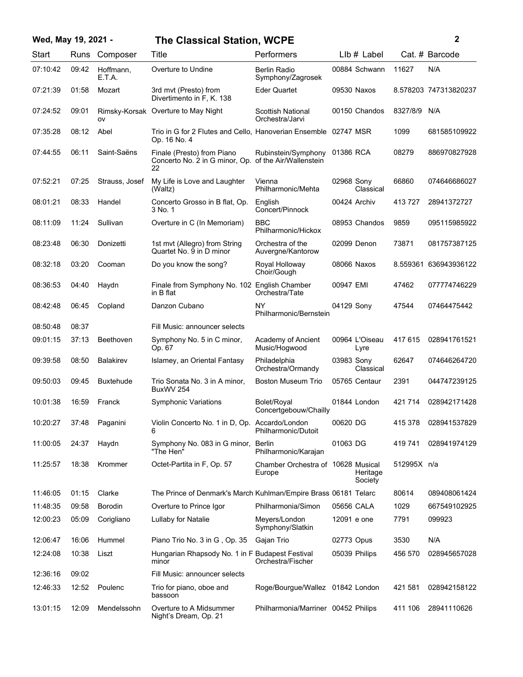# **Wed, May 19, 2021 - 2 The Classical Station, WCPE**

| Start    | Runs  | Composer            | Title                                                                           | Performers                                    | LIb # Label             |             | Cat. # Barcode        |
|----------|-------|---------------------|---------------------------------------------------------------------------------|-----------------------------------------------|-------------------------|-------------|-----------------------|
| 07:10:42 | 09:42 | Hoffmann,<br>E.T.A. | Overture to Undine                                                              | Berlin Radio<br>Symphony/Zagrosek             | 00884 Schwann           | 11627       | N/A                   |
| 07:21:39 | 01:58 | Mozart              | 3rd mvt (Presto) from<br>Divertimento in F, K. 138                              | <b>Eder Quartet</b>                           | 09530 Naxos             |             | 8.578203 747313820237 |
| 07:24:52 | 09:01 | ov                  | Rimsky-Korsak Overture to May Night                                             | Scottish National<br>Orchestra/Jarvi          | 00150 Chandos           | 8327/8/9    | N/A                   |
| 07:35:28 | 08:12 | Abel                | Trio in G for 2 Flutes and Cello, Hanoverian Ensemble 02747 MSR<br>Op. 16 No. 4 |                                               |                         | 1099        | 681585109922          |
| 07:44:55 | 06:11 | Saint-Saëns         | Finale (Presto) from Piano<br>Concerto No. 2 in G minor, Op.<br>22              | Rubinstein/Symphony<br>of the Air/Wallenstein | 01386 RCA               | 08279       | 886970827928          |
| 07:52:21 | 07:25 | Strauss, Josef      | My Life is Love and Laughter<br>(Waltz)                                         | Vienna<br>Philharmonic/Mehta                  | 02968 Sony<br>Classical | 66860       | 074646686027          |
| 08:01:21 | 08:33 | Handel              | Concerto Grosso in B flat, Op.<br>3 No. 1                                       | English<br>Concert/Pinnock                    | 00424 Archiv            | 413727      | 28941372727           |
| 08:11:09 | 11:24 | Sullivan            | Overture in C (In Memoriam)                                                     | <b>BBC</b><br>Philharmonic/Hickox             | 08953 Chandos           | 9859        | 095115985922          |
| 08:23:48 | 06:30 | Donizetti           | 1st mvt (Allegro) from String<br>Quartet No. 9 in D minor                       | Orchestra of the<br>Auvergne/Kantorow         | 02099 Denon             | 73871       | 081757387125          |
| 08:32:18 | 03:20 | Cooman              | Do you know the song?                                                           | Royal Holloway<br>Choir/Gough                 | 08066 Naxos             | 8.559361    | 636943936122          |
| 08:36:53 | 04:40 | Haydn               | Finale from Symphony No. 102 English Chamber<br>in B flat                       | Orchestra/Tate                                | 00947 EMI               | 47462       | 077774746229          |
| 08:42:48 | 06:45 | Copland             | Danzon Cubano                                                                   | NY<br>Philharmonic/Bernstein                  | 04129 Sony              | 47544       | 07464475442           |
| 08:50:48 | 08:37 |                     | Fill Music: announcer selects                                                   |                                               |                         |             |                       |
| 09:01:15 | 37:13 | Beethoven           | Symphony No. 5 in C minor,<br>Op. 67                                            | Academy of Ancient<br>Music/Hogwood           | 00964 L'Oiseau<br>Lyre  | 417 615     | 028941761521          |
| 09:39:58 | 08:50 | <b>Balakirev</b>    | Islamey, an Oriental Fantasy                                                    | Philadelphia<br>Orchestra/Ormandy             | 03983 Sony<br>Classical | 62647       | 074646264720          |
| 09:50:03 | 09:45 | <b>Buxtehude</b>    | Trio Sonata No. 3 in A minor,<br>BuxWV 254                                      | Boston Museum Trio                            | 05765 Centaur           | 2391        | 044747239125          |
| 10:01:38 | 16:59 | Franck              | <b>Symphonic Variations</b>                                                     | Bolet/Royal<br>Concertgebouw/Chailly          | 01844 London            | 421 714     | 028942171428          |
| 10:20:27 | 37:48 | Paganini            | Violin Concerto No. 1 in D, Op. Accardo/London                                  | Philharmonic/Dutoit                           | 00620 DG                | 415 378     | 028941537829          |
| 11:00:05 | 24:37 | Haydn               | Symphony No. 083 in G minor, Berlin<br>"The Hen"                                | Philharmonic/Karajan                          | 01063 DG                | 419 741     | 028941974129          |
| 11:25:57 | 18:38 | Krommer             | Octet-Partita in F, Op. 57                                                      | Chamber Orchestra of 10628 Musical<br>Europe  | Heritage<br>Society     | 512995X n/a |                       |
| 11:46:05 | 01:15 | Clarke              | The Prince of Denmark's March Kuhlman/Empire Brass 06181 Telarc                 |                                               |                         | 80614       | 089408061424          |
| 11:48:35 | 09:58 | Borodin             | Overture to Prince Igor                                                         | Philharmonia/Simon                            | 05656 CALA              | 1029        | 667549102925          |
| 12:00:23 | 05:09 | Corigliano          | Lullaby for Natalie                                                             | Meyers/London<br>Symphony/Slatkin             | 12091 e one             | 7791        | 099923                |
| 12:06:47 | 16:06 | Hummel              | Piano Trio No. 3 in G, Op. 35                                                   | Gajan Trio                                    | 02773 Opus              | 3530        | N/A                   |
| 12:24:08 | 10:38 | Liszt               | Hungarian Rhapsody No. 1 in F Budapest Festival<br>minor                        | Orchestra/Fischer                             | 05039 Philips           | 456 570     | 028945657028          |
| 12:36:16 | 09:02 |                     | Fill Music: announcer selects                                                   |                                               |                         |             |                       |
| 12:46:33 | 12:52 | Poulenc             | Trio for piano, oboe and<br>bassoon                                             | Roge/Bourgue/Wallez 01842 London              |                         | 421 581     | 028942158122          |
| 13:01:15 | 12:09 | Mendelssohn         | Overture to A Midsummer<br>Night's Dream, Op. 21                                | Philharmonia/Marriner 00452 Philips           |                         | 411 106     | 28941110626           |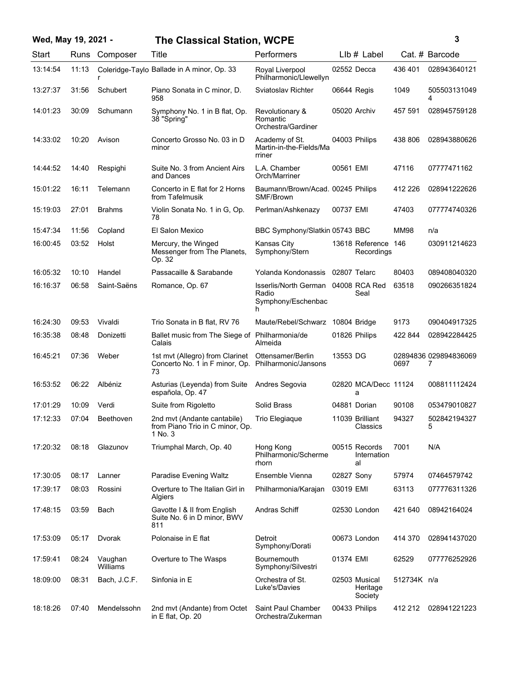### **Wed, May 19, 2021 - 3**

in E flat, Op. 20

## **The Clas**

| Wed, May 19, 2021 - |             |               | <b>The Classical Station, WCPE</b>                                                           | 3                                                                       |             |                               |             |                            |
|---------------------|-------------|---------------|----------------------------------------------------------------------------------------------|-------------------------------------------------------------------------|-------------|-------------------------------|-------------|----------------------------|
| Start               | <b>Runs</b> | Composer      | Title                                                                                        | Performers                                                              |             | $Llb#$ Label                  |             | Cat. # Barcode             |
| 13:14:54            | 11:13       | r             | Coleridge-Taylo Ballade in A minor, Op. 33                                                   | Royal Liverpool<br>Philharmonic/Llewellyn                               |             | 02552 Decca                   | 436 401     | 028943640121               |
| 13:27:37            | 31:56       | Schubert      | Piano Sonata in C minor, D.<br>958                                                           | Sviatoslav Richter                                                      | 06644 Regis |                               | 1049        | 505503131049<br>4          |
| 14:01:23            | 30:09       | Schumann      | Symphony No. 1 in B flat, Op.<br>38 "Spring"                                                 | Revolutionary &<br>Romantic<br>Orchestra/Gardiner                       |             | 05020 Archiv                  | 457 591     | 028945759128               |
| 14:33:02            | 10:20       | Avison        | Concerto Grosso No. 03 in D<br>minor                                                         | Academy of St.<br>Martin-in-the-Fields/Ma<br>rriner                     |             | 04003 Philips                 | 438 806     | 028943880626               |
| 14:44:52            | 14:40       | Respighi      | Suite No. 3 from Ancient Airs<br>and Dances                                                  | L.A. Chamber<br>Orch/Marriner                                           | 00561 EMI   |                               | 47116       | 07777471162                |
| 15:01:22            | 16:11       | Telemann      | Concerto in E flat for 2 Horns<br>from Tafelmusik                                            | Baumann/Brown/Acad. 00245 Philips<br>SMF/Brown                          |             |                               | 412 226     | 028941222626               |
| 15:19:03            | 27:01       | <b>Brahms</b> | Violin Sonata No. 1 in G, Op.<br>78                                                          | Perlman/Ashkenazy                                                       | 00737 EMI   |                               | 47403       | 077774740326               |
| 15:47:34            | 11:56       | Copland       | El Salon Mexico                                                                              | BBC Symphony/Slatkin 05743 BBC                                          |             |                               | <b>MM98</b> | n/a                        |
| 16:00:45            | 03:52       | Holst         | Mercury, the Winged<br>Messenger from The Planets,<br>Op. 32                                 | Kansas City<br>Symphony/Stern                                           |             | 13618 Reference<br>Recordings | 146         | 030911214623               |
| 16:05:32            | 10:10       | Handel        | Passacaille & Sarabande                                                                      | Yolanda Kondonassis 02807 Telarc                                        |             |                               | 80403       | 089408040320               |
| 16:16:37            | 06:58       | Saint-Saëns   | Romance, Op. 67                                                                              | Isserlis/North German 04008 RCA Red<br>Radio<br>Symphony/Eschenbac<br>h |             | Seal                          | 63518       | 090266351824               |
| 16:24:30            | 09:53       | Vivaldi       | Trio Sonata in B flat, RV 76                                                                 | Maute/Rebel/Schwarz 10804 Bridge                                        |             |                               | 9173        | 090404917325               |
| 16:35:38            | 08:48       | Donizetti     | Ballet music from The Siege of Philharmonia/de<br>Calais                                     | Almeida                                                                 |             | 01826 Philips                 | 422 844     | 028942284425               |
| 16:45:21            | 07:36       | Weber         | 1st mvt (Allegro) from Clarinet<br>Concerto No. 1 in F minor, Op. Philharmonic/Jansons<br>73 | Ottensamer/Berlin                                                       | 13553 DG    |                               | 0697        | 02894836 029894836069<br>7 |
| 16:53:52            | 06:22       | Albéniz       | Asturias (Leyenda) from Suite<br>española, Op. 47                                            | Andres Segovia                                                          |             | 02820 MCA/Decc 11124<br>a     |             | 008811112424               |

|          |       |                     | Calais                                                                                       | Almeida                                    |            |                                      |             |                            |
|----------|-------|---------------------|----------------------------------------------------------------------------------------------|--------------------------------------------|------------|--------------------------------------|-------------|----------------------------|
| 16:45:21 | 07:36 | Weber               | 1st myt (Allegro) from Clarinet<br>Concerto No. 1 in F minor, Op. Philharmonic/Jansons<br>73 | Ottensamer/Berlin                          | 13553 DG   |                                      | 0697        | 02894836 029894836069<br>7 |
| 16:53:52 | 06:22 | Albéniz             | Asturias (Leyenda) from Suite<br>española, Op. 47                                            | Andres Segovia                             |            | 02820 MCA/Decc 11124<br>а            |             | 008811112424               |
| 17:01:29 | 10:09 | Verdi               | Suite from Rigoletto                                                                         | Solid Brass                                |            | 04881 Dorian                         | 90108       | 053479010827               |
| 17:12:33 | 07:04 | Beethoven           | 2nd myt (Andante cantabile)<br>from Piano Trio in C minor, Op.<br>1 No. 3                    | Trio Elegiaque                             |            | 11039 Brilliant<br>Classics          | 94327       | 502842194327<br>5          |
| 17:20:32 | 08:18 | Glazunov            | Triumphal March, Op. 40                                                                      | Hong Kong<br>Philharmonic/Scherme<br>rhorn |            | 00515 Records<br>Internation<br>al   | 7001        | N/A                        |
| 17:30:05 | 08:17 | Lanner              | Paradise Evening Waltz                                                                       | Ensemble Vienna                            | 02827 Sony |                                      | 57974       | 07464579742                |
| 17:39:17 | 08:03 | Rossini             | Overture to The Italian Girl in<br>Algiers                                                   | Philharmonia/Karajan                       | 03019 EMI  |                                      | 63113       | 077776311326               |
| 17:48:15 | 03:59 | Bach                | Gavotte I & II from English<br>Suite No. 6 in D minor, BWV<br>811                            | Andras Schiff                              |            | 02530 London                         | 421 640     | 08942164024                |
| 17:53:09 | 05:17 | Dvorak              | Polonaise in E flat                                                                          | Detroit<br>Symphony/Dorati                 |            | 00673 London                         | 414 370     | 028941437020               |
| 17:59:41 | 08:24 | Vaughan<br>Williams | Overture to The Wasps                                                                        | <b>Bournemouth</b><br>Symphony/Silvestri   | 01374 EMI  |                                      | 62529       | 077776252926               |
| 18:09:00 | 08:31 | Bach, J.C.F.        | Sinfonia in E                                                                                | Orchestra of St.<br>Luke's/Davies          |            | 02503 Musical<br>Heritage<br>Society | 512734K n/a |                            |
| 18:18:26 | 07:40 | Mendelssohn         | 2nd mvt (Andante) from Octet                                                                 | <b>Saint Paul Chamber</b>                  |            | 00433 Philips                        | 412 212     | 028941221223               |

Orchestra/Zukerman